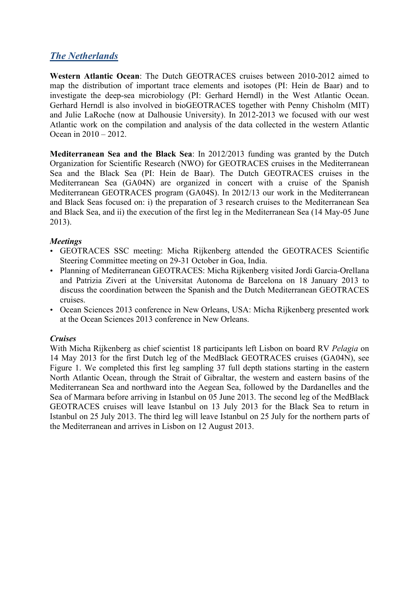# *The Netherlands*

**Western Atlantic Ocean**: The Dutch GEOTRACES cruises between 2010-2012 aimed to map the distribution of important trace elements and isotopes (PI: Hein de Baar) and to investigate the deep-sea microbiology (PI: Gerhard Herndl) in the West Atlantic Ocean. Gerhard Herndl is also involved in bioGEOTRACES together with Penny Chisholm (MIT) and Julie LaRoche (now at Dalhousie University). In 2012-2013 we focused with our west Atlantic work on the compilation and analysis of the data collected in the western Atlantic Ocean in 2010 – 2012.

**Mediterranean Sea and the Black Sea**: In 2012/2013 funding was granted by the Dutch Organization for Scientific Research (NWO) for GEOTRACES cruises in the Mediterranean Sea and the Black Sea (PI: Hein de Baar). The Dutch GEOTRACES cruises in the Mediterranean Sea (GA04N) are organized in concert with a cruise of the Spanish Mediterranean GEOTRACES program (GA04S). In 2012/13 our work in the Mediterranean and Black Seas focused on: i) the preparation of 3 research cruises to the Mediterranean Sea and Black Sea, and ii) the execution of the first leg in the Mediterranean Sea (14 May-05 June 2013).

## *Meetings*

- GEOTRACES SSC meeting: Micha Rijkenberg attended the GEOTRACES Scientific Steering Committee meeting on 29-31 October in Goa, India.
- Planning of Mediterranean GEOTRACES: Micha Rijkenberg visited Jordi Garcia-Orellana and Patrizia Ziveri at the Universitat Autonoma de Barcelona on 18 January 2013 to discuss the coordination between the Spanish and the Dutch Mediterranean GEOTRACES cruises.
- Ocean Sciences 2013 conference in New Orleans, USA: Micha Rijkenberg presented work at the Ocean Sciences 2013 conference in New Orleans.

## *Cruises*

With Micha Rijkenberg as chief scientist 18 participants left Lisbon on board RV *Pelagia* on 14 May 2013 for the first Dutch leg of the MedBlack GEOTRACES cruises (GA04N), see Figure 1. We completed this first leg sampling 37 full depth stations starting in the eastern North Atlantic Ocean, through the Strait of Gibraltar, the western and eastern basins of the Mediterranean Sea and northward into the Aegean Sea, followed by the Dardanelles and the Sea of Marmara before arriving in Istanbul on 05 June 2013. The second leg of the MedBlack GEOTRACES cruises will leave Istanbul on 13 July 2013 for the Black Sea to return in Istanbul on 25 July 2013. The third leg will leave Istanbul on 25 July for the northern parts of the Mediterranean and arrives in Lisbon on 12 August 2013.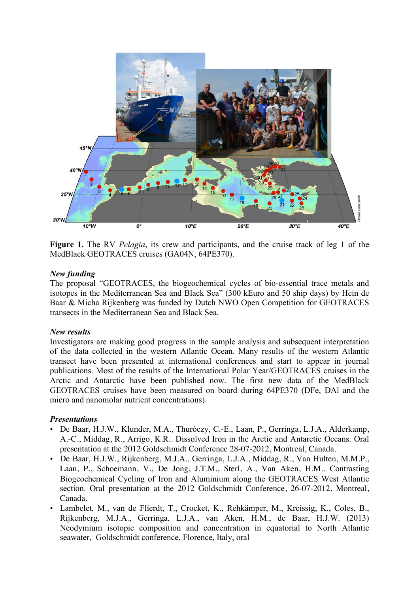

**Figure 1.** The RV *Pelagia*, its crew and participants, and the cruise track of leg 1 of the MedBlack GEOTRACES cruises (GA04N, 64PE370).

### *New funding*

The proposal "GEOTRACES, the biogeochemical cycles of bio-essential trace metals and isotopes in the Mediterranean Sea and Black Sea" (300 kEuro and 50 ship days) by Hein de Baar & Micha Rijkenberg was funded by Dutch NWO Open Competition for GEOTRACES transects in the Mediterranean Sea and Black Sea.

#### *New results*

Investigators are making good progress in the sample analysis and subsequent interpretation of the data collected in the western Atlantic Ocean. Many results of the western Atlantic transect have been presented at international conferences and start to appear in journal publications. Most of the results of the International Polar Year/GEOTRACES cruises in the Arctic and Antarctic have been published now. The first new data of the MedBlack GEOTRACES cruises have been measured on board during 64PE370 (DFe, DAl and the micro and nanomolar nutrient concentrations).

#### *Presentations*

- De Baar, H.J.W., Klunder, M.A., Thuróczy, C.-E., Laan, P., Gerringa, L.J.A., Alderkamp, A.-C., Middag, R., Arrigo, K.R.. Dissolved Iron in the Arctic and Antarctic Oceans. Oral presentation at the 2012 Goldschmidt Conference 28-07-2012, Montreal, Canada.
- De Baar, H.J.W., Rijkenberg, M.J.A., Gerringa, L.J.A., Middag, R., Van Hulten, M.M.P., Laan, P., Schoemann, V., De Jong, J.T.M., Sterl, A., Van Aken, H.M.. Contrasting Biogeochemical Cycling of Iron and Aluminium along the GEOTRACES West Atlantic section. Oral presentation at the 2012 Goldschmidt Conference, 26-07-2012, Montreal, Canada.
- Lambelet, M., van de Flierdt, T., Crocket, K., Rehkämper, M., Kreissig, K., Coles, B., Rijkenberg, M.J.A., Gerringa, L.J.A., van Aken, H.M., de Baar, H.J.W. (2013) Neodymium isotopic composition and concentration in equatorial to North Atlantic seawater, Goldschmidt conference, Florence, Italy, oral